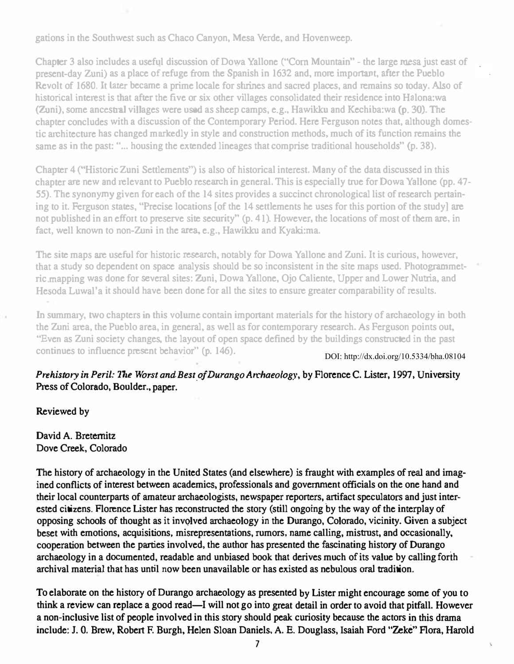gations in the Southwest such as Chaco Canyon. Mesa Verde, and Hovenweep.

Chapter 3 also includes a useful discussion of Dowa Yallone ("Corn Mountain" - the large mesa just east of present-day Zuni) as a place of refuge from the Spanish in 1632 and, more important, after the Pueblo Revolt of 1680. It later became a prime locale for shrines and sacred places, and remains so today. Also of historical interest is that after the five or six other villages consolidated their residence into Halona:wa (Zuni), some ancestral villages were used as sheep camps, e.g., Hawikku and Kechiba:wa (p. 30). The chapter concludes with a discussion of the Contemporary Period. Here Ferguson notes that, although domestic architecture has changed markedly in style and construction methods. much of its function remains the same as in the past: "... housing the extended lineages that comprise traditional households" (p. 38).

Chapter 4 ("Historic Zuni Settlements") is also of historical interest. Many of the data discussed in this chapter are new and relevant to Pueblo research in general. This is especially true for Dowa Yallone (pp. 47-55). The synonymy given for each of the 14 sites provides a succinct chronological list of research pertaining to it. Ferguson states, "Precise locations [of the 14 settlements he uses for this portion of the study] are not published in an effort to preserve site security" (p. 41). However, the locations of most of tbem are, in fact, well known to non-Zuni in the area, e.g., Hawikku and Kyaki:ma.

The site maps are useful for historic research, notably for Dowa Yallone and Zuni. It is curious. however, that a study so dependent on space analysis should be so inconsistent in the site maps used. Photogrammetric mapping was done for several sites: Zuni, Dowa Yallone, Ojo Caliente, Upper and Lower Nutria, and Hesoda Luwal'a it should have been done for all the sites to ensure greater comparability of results.

In summary, two chapters in this volume contain important materials for the history of archaeology in both the Zuni area, the Pueblo area, in general, as well as for contemporary research. As Ferguson points out, "Even as Zuni society changes. the layout of open space defined by the buildings constructed in the past continues to influence present behavior" (p. 146).

DOI: http://dx.doi.org/10.5334/bha.08104

Prehistory in Peril: The Worst and Best of Durango Archaeology, by Florence C. Lister, 1997, University Press of Colorado, Boulder., paper.

Reviewed by

David A. Bretemitz Dove Creek, Colorado

The history of archaeology in the United States (and elsewhere) is fraught with examples of real and imagined conflicts of interest between academics., professionals and government officials on the one hand and their local counterparts of amateur archaeologists, newspaper reporters. anifact speculators and just interested citizens. Florence Lister has reconstructed the story (still ongoing by the way of the interplay of opposing schools of thought as it invQlved archaeology in the Durango, Colorado, vicinity. Given a subject beset with emotions. acquisitions. misrepresentations, rumors, name calling. mistrust. and occasionally. cooperation between the parties involved, the author has presented the fascinating history of Ourango archaeology in a documented, readable and unbiased book that derives much of its value by calling forih archival material that has until now been unavailable or has existed as nebulous oral tradition.

To elaborate on the history of Durango archaeology as presented by Lister might encourage some of you to think a review can replace a good read—I will not go into great detail in order to avoid that pitfall. However a non-inclusive list of people involved in this story should peak curiosity because the actors in this drama include: J. O. Brew, Robert F. Burgh, Helen Sloan Daniels, A. E. Douglass, Isaiah Ford "Zeke" Flora, Harold